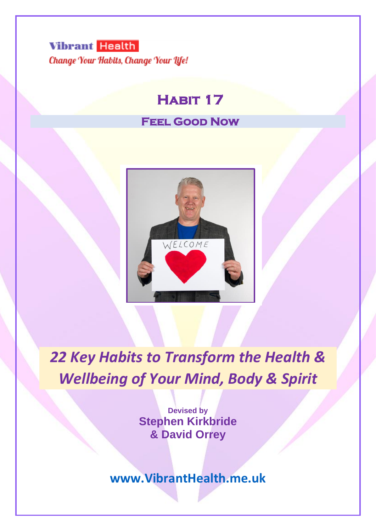# **Vibrant Health** Change Your Habits, Change Your Life!

# **Habit 17**

# **Feel Good Now**



*22 Key Habits to Transform the Health & Wellbeing of Your Mind, Body & Spirit*

> **Devised by Stephen Kirkbride & David Orrey**

**[www.VibrantHealth.me.uk](http://www.vibranthealth.me.uk/)**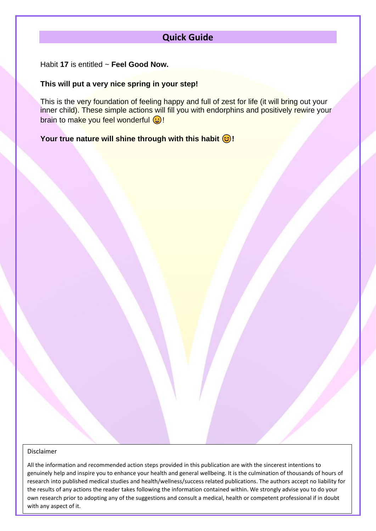# **Quick Guide**

Habit **17** is entitled ~ **Feel Good Now.**

#### **This will put a very nice spring in your step!**

This is the very foundation of feeling happy and full of zest for life (it will bring out your inner child). These simple actions will fill you with endorphins and positively rewire your brain to make you feel wonderful  $\bigcirc$ !

**Your true nature will shine through with this habit**  $\odot$ **!** 

#### Disclaimer

own research prior to adopting any of the suggestions and consult a medical, health or competent professional if in doubt All the information and recommended action steps provided in this publication are with the sincerest intentions to genuinely help and inspire you to enhance your health and general wellbeing. It is the culmination of thousands of hours of research into published medical studies and health/wellness/success related publications. The authors accept no liability for the results of any actions the reader takes following the information contained within. We strongly advise you to do your with any aspect of it.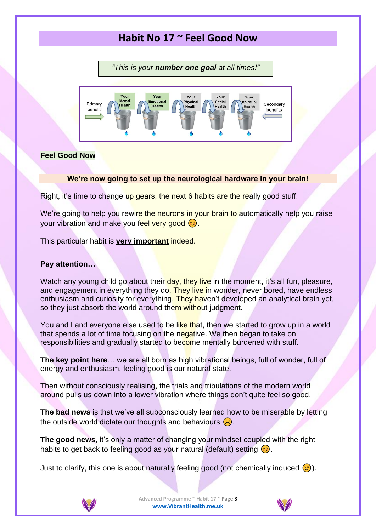# **Habit No 17 ~ Feel Good Now**

*"This is your number one goal at all times!"*



# **Feel Good Now**

### **We're now going to set up the neurological hardware in your brain!**

Right, it's time to change up gears, the next 6 habits are the really good stuff!

We're going to help you rewire the neurons in your brain to automatically help you raise your vibration and make you feel very good  $\circled{c}$ .

This particular habit is **very important** indeed.

# **Pay attention…**

Watch any young child go about their day, they live in the moment, it's all fun, pleasure, and engagement in everything they do. They live in wonder, never bored, have endless enthusiasm and curiosity for everything. They haven't developed an analytical brain yet, so they just absorb the world around them without judgment.

You and I and everyone else used to be like that, then we started to grow up in a world that spends a lot of time focusing on the negative. We then began to take on responsibilities and gradually started to become mentally burdened with stuff.

**The key point here**… we are all born as high vibrational beings, full of wonder, full of energy and enthusiasm, feeling good is our natural state.

Then without consciously realising, the trials and tribulations of the modern world around pulls us down into a lower vibration where things don't quite feel so good.

**The bad news** is that we've all subconsciously learned how to be miserable by letting the outside world dictate our thoughts and behaviours  $\left(\cdot\right)$ .

**The good news**, it's only a matter of changing your mindset coupled with the right habits to get back to feeling good as your natural (default) setting  $\circled{c}$ .

Just to clarify, this one is about naturally feeling good (not chemically induced ).



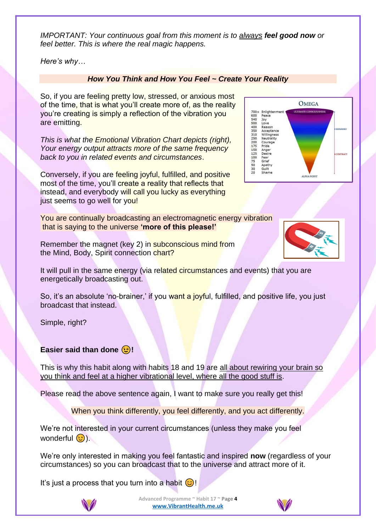*IMPORTANT: Your continuous goal from this moment is to always feel good now or feel better. This is where the real magic happens.*

*Here's why…*

# *How You Think and How You Feel ~ Create Your Reality*

So, if you are feeling pretty low, stressed, or anxious most of the time, that is what you'll create more of, as the reality you're creating is simply a reflection of the vibration you are emitting.

*This is what the Emotional Vibration Chart depicts (right), Your energy output attracts more of the same frequency back to you in related events and circumstances*.

Conversely, if you are feeling joyful, fulfilled, and positive most of the time, you'll create a reality that reflects that instead, and everybody will call you lucky as everything just seems to go well for you!

You are continually broadcasting an electromagnetic energy vibration that is saying to the universe **'more of this please!'**

Remember the magnet (key 2) in subconscious mind from the Mind, Body, Spirit connection chart?

It will pull in the same energy (via related circumstances and events) that you are energetically broadcasting out.

So, it's an absolute 'no-brainer,' if you want a joyful, fulfilled, and positive life, you just broadcast that instead.

Simple, right?

# **Easier said than done (B)!**

This is why this habit along with habits 18 and 19 are all about rewiring your brain so you think and feel at a higher vibrational level, where all the good stuff is.

Please read the above sentence again, I want to make sure you really get this!

When you think differently, you feel differently, and you act differently.

We're not interested in your current circumstances (unless they make you feel wonderful  $\circ$ ).

We're only interested in making you feel fantastic and inspired **now** (regardless of your circumstances) so you can broadcast that to the universe and attract more of it.

It's just a process that you turn into a habit  $\odot$ !







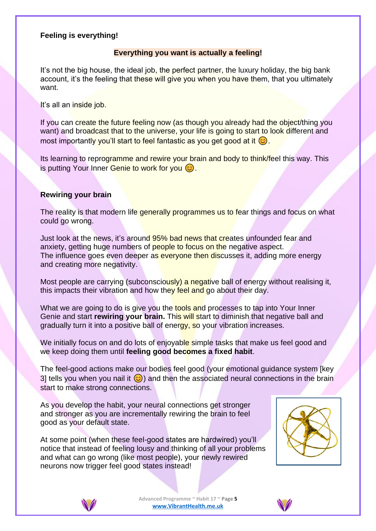# **Feeling is everything!**

# **Everything you want is actually a feeling!**

It's not the big house, the ideal job, the perfect partner, the luxury holiday, the big bank account, it's the feeling that these will give you when you have them, that you ultimately want.

It's all an inside job.

If you can create the future feeling now (as though you already had the object/thing you want) and broadcast that to the universe, your life is going to start to look different and most importantly you'll start to feel fantastic as you get good at it  $\odot$ .

Its learning to reprogramme and rewire your brain and body to think/feel this way. This is putting Your Inner Genie to work for you  $\odot$ .

### **Rewiring your brain**

The reality is that modern life generally programmes us to fear things and focus on what could go wrong.

Just look at the news, it's around 95% bad news that creates unfounded fear and anxiety, getting huge numbers of people to focus on the negative aspect. The influence goes even deeper as everyone then discusses it, adding more energy and creating more negativity.

Most people are carrying (subconsciously) a negative ball of energy without realising it, this impacts their vibration and how they feel and go about their day.

What we are going to do is give you the tools and processes to tap into Your Inner Genie and start **rewiring your brain.** This will start to diminish that negative ball and gradually turn it into a positive ball of energy, so your vibration increases.

We initially focus on and do lots of enjoyable simple tasks that make us feel good and we keep doing them until **feeling good becomes a fixed habit**.

The feel-good actions make our bodies feel good (your emotional guidance system [key 3] tells you when you nail it  $\odot$ ) and then the associated neural connections in the brain start to make strong connections.

As you develop the habit, your neural connections get stronger and stronger as you are incrementally rewiring the brain to feel good as your default state.

At some point (when these feel-good states are hardwired) you'll notice that instead of feeling lousy and thinking of all your problems and what can go wrong (like most people), your newly rewired neurons now trigger feel good states instead!





**Advanced Programme ~ Habit 17 ~ Page 5 [www.VibrantHealth.me.uk](https://www.vibranthealth.me.uk/essential-plan)**

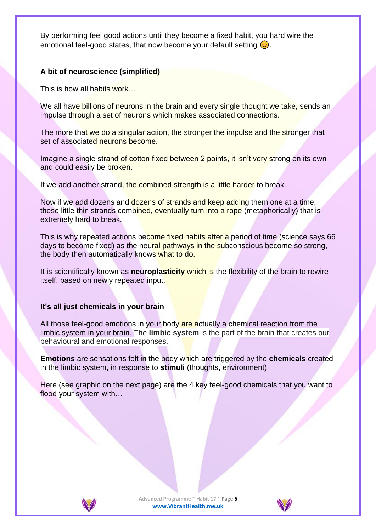By performing feel good actions until they become a fixed habit, you hard wire the emotional feel-good states, that now become your default setting  $\circled{c}$ .

# **A bit of neuroscience (simplified)**

This is how all habits work…

We all have billions of neurons in the brain and every single thought we take, sends an impulse through a set of neurons which makes associated connections.

The more that we do a singular action, the stronger the impulse and the stronger that set of associated neurons become.

Imagine a single strand of cotton fixed between 2 points, it isn't very strong on its own and could easily be broken.

If we add another strand, the combined strength is a little harder to break.

Now if we add dozens and dozens of strands and keep adding them one at a time, these little thin strands combined, eventually turn into a rope (metaphorically) that is extremely hard to break.

This is why repeated actions become fixed habits after a period of time (science says 66 days to become fixed) as the neural pathways in the subconscious become so strong, the body then automatically knows what to do.

It is scientifically known as **neuroplasticity** which is the flexibility of the brain to rewire itself, based on newly repeated input.

### **It's all just chemicals in your brain**

All those feel-good emotions in your body are actually a chemical reaction from the limbic system in your brain. The **limbic system** is the part of the brain that creates our behavioural and emotional responses.

**Emotions** are sensations felt in the body which are triggered by the **chemicals** created in the limbic system, in response to **stimuli** (thoughts, environment).

Here (see graphic on the next page) are the 4 key feel-good chemicals that you want to flood your system with…



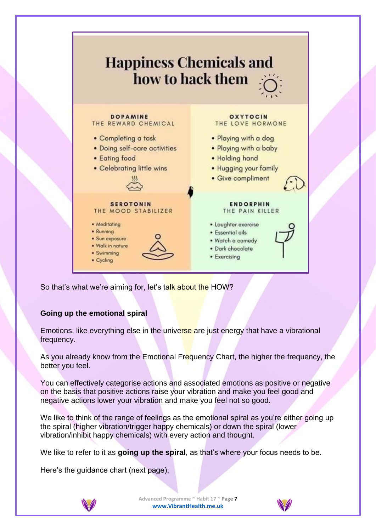

So that's what we're aiming for, let's talk about the HOW?

# **Going up the emotional spiral**

Emotions, like everything else in the universe are just energy that have a vibrational frequency.

As you already know from the Emotional Frequency Chart, the higher the frequency, the better you feel.

You can effectively categorise actions and associated emotions as positive or negative on the basis that positive actions raise your vibration and make you feel good and negative actions lower your vibration and make you feel not so good.

We like to think of the range of feelings as the emotional spiral as you're either going up the spiral (higher vibration/trigger happy chemicals) or down the spiral (lower vibration/inhibit happy chemicals) with every action and thought.

We like to refer to it as **going up the spiral**, as that's where your focus needs to be.

Here's the guidance chart (next page);



**Advanced Programme ~ Habit 17 ~ Page 7 [www.VibrantHealth.me.uk](https://www.vibranthealth.me.uk/essential-plan)**

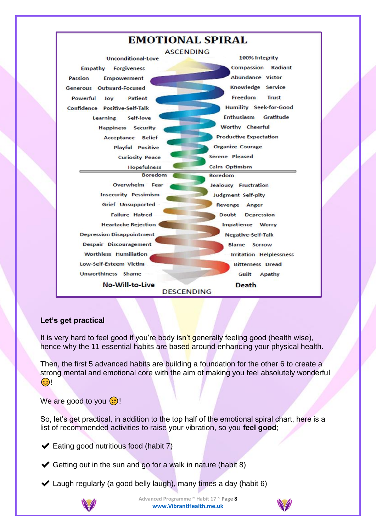

# **Let's get practical**

It is very hard to feel good if you're body isn't generally feeling good (health wise), hence why the 11 essential habits are based around enhancing your physical health.

Then, the first 5 advanced habits are building a foundation for the other 6 to create a strong mental and emotional core with the aim of making you feel absolutely wonderful  $\odot$  !

We are good to you  $\odot$ !

So, let's get practical, in addition to the top half of the emotional spiral chart, here is a list of recommended activities to raise your vibration, so you **feel good**;

✔ Eating good nutritious food (habit 7)

 $\blacktriangleright$  Getting out in the sun and go for a walk in nature (habit 8)

 $\blacktriangleright$  Laugh regularly (a good belly laugh), many times a day (habit 6)



**Advanced Programme ~ Habit 17 ~ Page 8 [www.VibrantHealth.me.uk](https://www.vibranthealth.me.uk/essential-plan)**

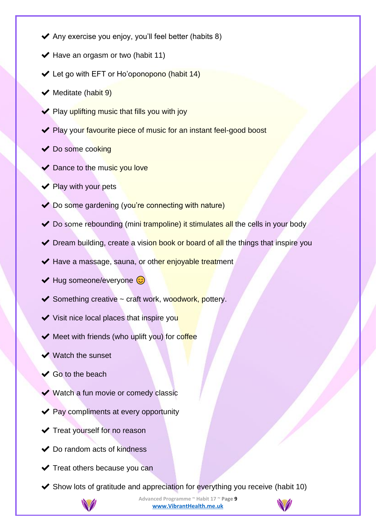- $\blacktriangleright$  Any exercise you enjoy, you'll feel better (habits 8)
- $\blacktriangleright$  Have an orgasm or two (habit 11)
- ✔ Let go with EFT or Ho'oponopono (habit 14)
- $\blacktriangleright$  Meditate (habit 9)
- $\blacktriangleright$  Play uplifting music that fills you with joy
- ◆ Play your favourite piece of music for an instant feel-good boost
- ◆ Do some cooking
- ◆ Dance to the music you love
- $\blacktriangleright$  Play with your pets
- ◆ Do some gardening (you're connecting with nature)
- ◆ Do some rebounding (mini trampoline) it stimulates all the cells in your body
- ◆ Dream building, create a vision book or board of all the things that inspire you
- ◆ Have a massage, sauna, or other enjoyable treatment
- $\blacktriangleright$  Hug someone/everyone  $\odot$
- $\blacktriangleright$  Something creative  $\sim$  craft work, woodwork, pottery.
- $\blacktriangleright$  Visit nice local places that inspire you
- ◆ Meet with friends (who uplift you) for coffee
- $\blacktriangleright$  Watch the sunset
- $\checkmark$  Go to the beach
- ◆ Watch a fun movie or comedy classic
- ◆ Pay compliments at every opportunity
- $\blacktriangleright$  Treat yourself for no reason
- $\blacktriangleright$  Do random acts of kindness
- ◆ Treat others because you can
- $\blacktriangleright$  Show lots of gratitude and appreciation for everything you receive (habit 10)



**Advanced Programme ~ Habit 17 ~ Page 9 [www.VibrantHealth.me.uk](https://www.vibranthealth.me.uk/essential-plan)**

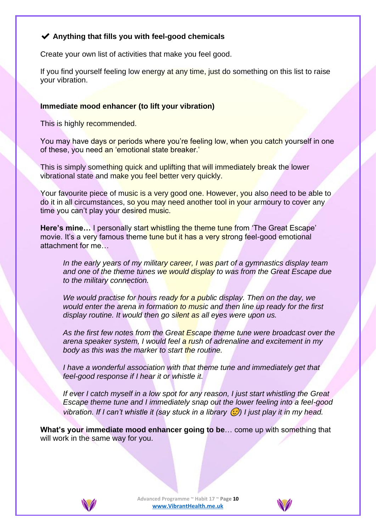# ✔ **Anything that fills you with feel-good chemicals**

Create your own list of activities that make you feel good.

If you find yourself feeling low energy at any time, just do something on this list to raise your vibration.

# **Immediate mood enhancer (to lift your vibration)**

This is highly recommended.

You may have days or periods where you're feeling low, when you catch yourself in one of these, you need an 'emotional state breaker.'

This is simply something quick and uplifting that will immediately break the lower vibrational state and make you feel better very quickly.

Your favourite piece of music is a very good one. However, you also need to be able to do it in all circumstances, so you may need another tool in your armoury to cover any time you can't play your desired music.

Here's mine... I personally start whistling the theme tune from 'The Great Escape' movie. It's a very famous theme tune but it has a very strong feel-good emotional attachment for me…

*In the early years of my military career, I was part of a gymnastics display team and one of the theme tunes we would display to was from the Great Escape due to the military connection.*

*We would practise for hours ready for a public display. Then on the day, we would enter the arena in formation to music and then line up ready for the first display routine. It would then go silent as all eyes were upon us.*

As the first few notes from the Great Escape theme tune were broadcast over the *arena speaker system, I would feel a rush of adrenaline and excitement in my body as this was the marker to start the routine.*

*I have a wonderful association with that theme tune and immediately get that feel-good response if I hear it or whistle it.*

*If ever I catch myself in a low spot for any reason, I just start whistling the Great Escape theme tune and I immediately snap out the lower feeling into a feel-good vibration. If I can't whistle it (say stuck in a library*  $\odot$ *) I just play it in my head.* 

**What's your immediate mood enhancer going to be**… come up with something that will work in the same way for you.



**Advanced Programme ~ Habit 17 ~ Page 10 [www.VibrantHealth.me.uk](https://www.vibranthealth.me.uk/essential-plan)**

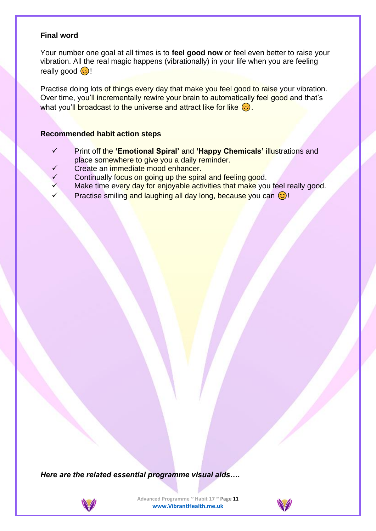# **Final word**

Your number one goal at all times is to **feel good now** or feel even better to raise your vibration. All the real magic happens (vibrationally) in your life when you are feeling really good  $\odot$ !

Practise doing lots of things every day that make you feel good to raise your vibration. Over time, you'll incrementally rewire your brain to automatically feel good and that's what you'll broadcast to the universe and attract like for like  $\circledcirc$ .

### **Recommended habit action steps**

- ✓ Print off the **'Emotional Spiral'** and **'Happy Chemicals'** illustrations and place somewhere to give you a daily reminder.
- Create an immediate mood enhancer.
- Continually focus on going up the spiral and feeling good.
- Make time every day for enjoyable activities that make you feel really good.
- Practise smiling and laughing all day long, because you can  $\odot$ !

*Here are the related essential programme visual aids….*



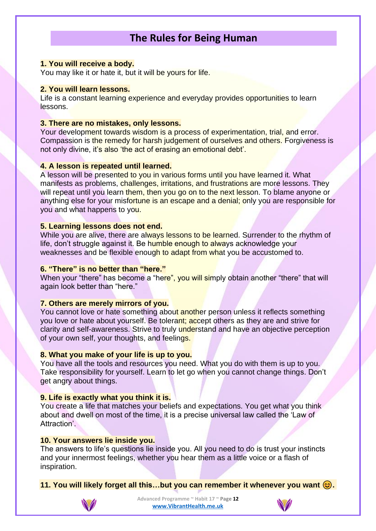# **The Rules for Being Human**

#### **1. You will receive a body.**

You may like it or hate it, but it will be yours for life.

#### **2. You will learn lessons.**

Life is a constant learning experience and everyday provides opportunities to learn lessons.

#### **3. There are no mistakes, only lessons.**

Your development towards wisdom is a process of experimentation, trial, and error. Compassion is the remedy for harsh judgement of ourselves and others. Forgiveness is not only divine, it's also 'the act of erasing an emotional debt'.

#### **4. A lesson is repeated until learned.**

A lesson will be presented to you in various forms until you have learned it. What manifests as problems, challenges, irritations, and frustrations are more lessons. They will repeat until you learn them, then you go on to the next lesson. To blame anyone or anything else for your misfortune is an escape and a denial; only you are responsible for you and what happens to you.

#### **5. Learning lessons does not end.**

While you are alive, there are always lessons to be learned. Surrender to the rhythm of life, don't struggle against it. Be humble enough to always acknowledge your weaknesses and be flexible enough to adapt from what you be accustomed to.

#### **6. "There" is no better than "here."**

When your "there" has become a "here", you will simply obtain another "there" that will again look better than "here."

#### **7. Others are merely mirrors of you.**

You cannot love or hate something about another person unless it reflects something you love or hate about yourself. Be tolerant; accept others as they are and strive for clarity and self-awareness. Strive to truly understand and have an objective perception of your own self, your thoughts, and feelings.

### **8. What you make of your life is up to you.**

You have all the tools and resources you need. What you do with them is up to you. Take responsibility for yourself. Learn to let go when you cannot change things. Don't get angry about things.

### **9. Life is exactly what you think it is.**

You create a life that matches your beliefs and expectations. You get what you think about and dwell on most of the time, it is a precise universal law called the 'Law of Attraction'

#### **10. Your answers lie inside you.**

The answers to life's questions lie inside you. All you need to do is trust your instincts and your innermost feelings, whether you hear them as a little voice or a flash of inspiration.

**11. You will likely forget all this…but you can remember it whenever you want .**



**Advanced Programme ~ Habit 17 ~ Page 12 [www.VibrantHealth.me.uk](https://www.vibranthealth.me.uk/essential-plan)**

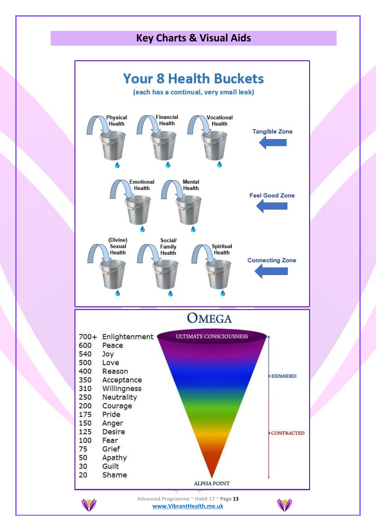# **Key Charts & Visual Aids**



**[www.VibrantHealth.me.uk](https://www.vibranthealth.me.uk/essential-plan)**